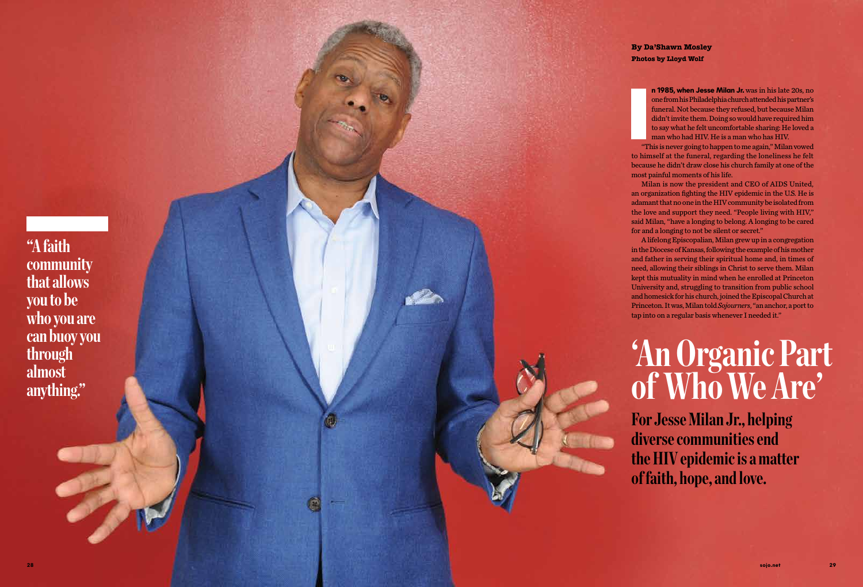# **'An Organic Part of Who We Are'**

**For Jesse Milan Jr., helping diverse communities end the HIV epidemic is a matter of faith, hope, and love.**

**n 1985, when Jesse Milan Jr.** was in his late 20s, no one from his Philadelphia church attended his partner's funeral. Not because they refused, but because Milan didn't invite them. Doing so would have required him to say what he felt uncomfortable sharing: He loved a man who had HIV. He is a man who has HIV.

"This is never going to happen to me again," Milan vowed to himself at the funeral, regarding the loneliness he felt because he didn't draw close his church family at one of the most painful moments of his life.

Milan is now the president and CEO of AIDS United, an organization fighting the HIV epidemic in the U.S. He is adamant that no one in the HIV community be isolated from the love and support they need. "People living with HIV," said Milan, "have a longing to belong. A longing to be cared for and a longing to not be silent or secret."

A lifelong Episcopalian, Milan grew up in a congregation in the Diocese of Kansas, following the example of his mother and father in serving their spiritual home and, in times of need, allowing their siblings in Christ to serve them. Milan kept this mutuality in mind when he enrolled at Princeton University and, struggling to transition from public school and homesick for his church, joined the Episcopal Church at Princeton. It was, Milan told *Sojourners*, "an anchor, a port to tap into on a regular basis whenever I needed it."

**By Da'Shawn Mosley Photos by Lloyd Wolf**

**"A faith community that allows you to be who you are can buoy you through almost anything."**